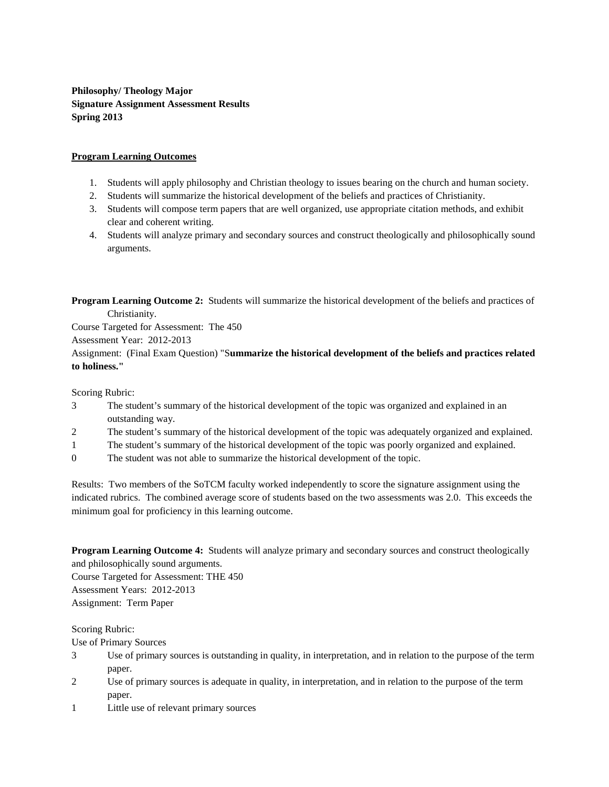**Philosophy/ Theology Major Signature Assignment Assessment Results Spring 2013**

## **Program Learning Outcomes**

- 1. Students will apply philosophy and Christian theology to issues bearing on the church and human society.
- 2. Students will summarize the historical development of the beliefs and practices of Christianity.
- 3. Students will compose term papers that are well organized, use appropriate citation methods, and exhibit clear and coherent writing.
- 4. Students will analyze primary and secondary sources and construct theologically and philosophically sound arguments.

**Program Learning Outcome 2:** Students will summarize the historical development of the beliefs and practices of Christianity.

Course Targeted for Assessment: The 450

Assessment Year: 2012-2013

Assignment: (Final Exam Question) "S**ummarize the historical development of the beliefs and practices related to holiness."**

Scoring Rubric:

- 3 The student's summary of the historical development of the topic was organized and explained in an outstanding way.
- 2 The student's summary of the historical development of the topic was adequately organized and explained.
- 1 The student's summary of the historical development of the topic was poorly organized and explained.
- 0 The student was not able to summarize the historical development of the topic.

Results: Two members of the SoTCM faculty worked independently to score the signature assignment using the indicated rubrics. The combined average score of students based on the two assessments was 2.0. This exceeds the minimum goal for proficiency in this learning outcome.

**Program Learning Outcome 4:** Students will analyze primary and secondary sources and construct theologically and philosophically sound arguments.

Course Targeted for Assessment: THE 450 Assessment Years: 2012-2013 Assignment: Term Paper

Scoring Rubric:

Use of Primary Sources

- 3 Use of primary sources is outstanding in quality, in interpretation, and in relation to the purpose of the term paper.
- 2 Use of primary sources is adequate in quality, in interpretation, and in relation to the purpose of the term paper.
- 1 Little use of relevant primary sources